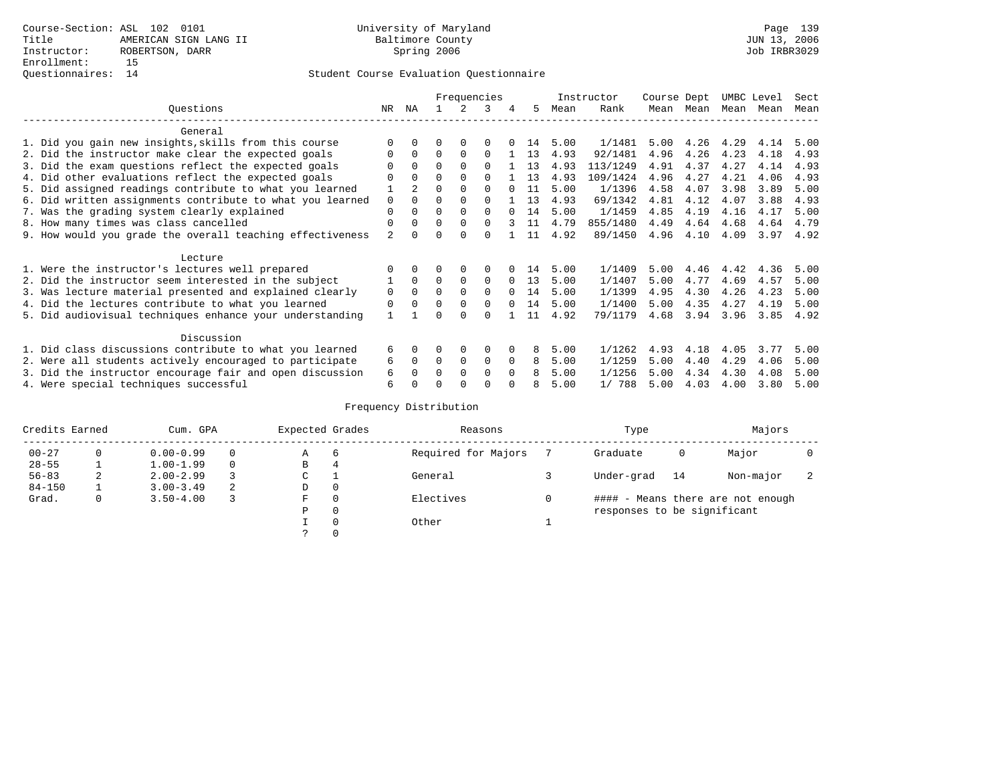### Student Course Evaluation Questionnaire

|                                                           |                |                | Frequencies |              |          |          |    |      | Instructor | Course Dept |      | UMBC Level |      | Sect |
|-----------------------------------------------------------|----------------|----------------|-------------|--------------|----------|----------|----|------|------------|-------------|------|------------|------|------|
| Ouestions                                                 | NR             | ΝA             |             |              | २        | 4        | 5  | Mean | Rank       | Mean        | Mean | Mean Mean  |      | Mean |
| General                                                   |                |                |             |              |          |          |    |      |            |             |      |            |      |      |
| 1. Did you gain new insights, skills from this course     |                | <sup>0</sup>   | U           | $\Omega$     |          |          | 14 | 5.00 | 1/1481     | 5.00        | 4.26 | 4.29       | 4.14 | 5.00 |
| 2. Did the instructor make clear the expected goals       |                | $\Omega$       | 0           | $\Omega$     | 0        |          | 13 | 4.93 | 92/1481    | 4.96        | 4.26 | 4.23       | 4.18 | 4.93 |
| 3. Did the exam questions reflect the expected goals      |                | $\Omega$       | $\Omega$    | $\Omega$     | $\Omega$ |          | 13 | 4.93 | 113/1249   | 4.91        | 4.37 | 4.27       | 4.14 | 4.93 |
| 4. Did other evaluations reflect the expected goals       | O              | $\Omega$       | $\Omega$    | $\Omega$     | $\Omega$ |          | 13 | 4.93 | 109/1424   | 4.96        | 4.27 | 4.21       | 4.06 | 4.93 |
| 5. Did assigned readings contribute to what you learned   |                | $\mathfrak{D}$ | O           | $\Omega$     | $\Omega$ |          | 11 | 5.00 | 1/1396     | 4.58        | 4.07 | 3.98       | 3.89 | 5.00 |
| 6. Did written assignments contribute to what you learned | 0              | $\Omega$       | U           | <sup>0</sup> | $\Omega$ |          | 13 | 4.93 | 69/1342    | 4.81        | 4.12 | 4.07       | 3.88 | 4.93 |
| 7. Was the grading system clearly explained               | 0              | <sup>0</sup>   | U           | $\Omega$     | $\Omega$ |          | 14 | 5.00 | 1/1459     | 4.85        | 4.19 | 4.16       | 4.17 | 5.00 |
| 8. How many times was class cancelled                     | 0              | 0              | $\Omega$    | $\Omega$     | 0        |          | 11 | 4.79 | 855/1480   | 4.49        | 4.64 | 4.68       | 4.64 | 4.79 |
| 9. How would you grade the overall teaching effectiveness | $\mathfrak{D}$ |                |             | $\cap$       |          |          | 11 | 4.92 | 89/1450    | 4.96        | 4.10 | 4.09       | 3.97 | 4.92 |
| Lecture                                                   |                |                |             |              |          |          |    |      |            |             |      |            |      |      |
| 1. Were the instructor's lectures well prepared           |                |                |             |              |          |          | 14 | 5.00 | 1/1409     | 5.00        | 4.46 | 4.42       | 4.36 | 5.00 |
| 2. Did the instructor seem interested in the subject      |                | $\Omega$       | 0           | 0            | 0        | $\Omega$ | 13 | 5.00 | 1/1407     | 5.00        | 4.77 | 4.69       | 4.57 | 5.00 |
| 3. Was lecture material presented and explained clearly   | 0              | $\Omega$       | U           | $\Omega$     | $\Omega$ | $\Omega$ | 14 | 5.00 | 1/1399     | 4.95        | 4.30 | 4.26       | 4.23 | 5.00 |
| 4. Did the lectures contribute to what you learned        | 0              |                | U           | $\Omega$     | $\Omega$ | $\Omega$ | 14 | 5.00 | 1/1400     | 5.00        | 4.35 | 4.27       | 4.19 | 5.00 |
| 5. Did audiovisual techniques enhance your understanding  |                |                |             | $\cap$       |          |          | 11 | 4.92 | 79/1179    | 4.68        | 3.94 | 3.96       | 3.85 | 4.92 |
| Discussion                                                |                |                |             |              |          |          |    |      |            |             |      |            |      |      |
| 1. Did class discussions contribute to what you learned   | 6              | 0              |             | 0            | 0        |          | 8  | 5.00 | 1/1262     | 4.93        | 4.18 | 4.05       | 3.77 | 5.00 |
| 2. Were all students actively encouraged to participate   | 6              | $\Omega$       | 0           | 0            | 0        | $\Omega$ | 8  | 5.00 | 1/1259     | 5.00        | 4.40 | 4.29       | 4.06 | 5.00 |
| 3. Did the instructor encourage fair and open discussion  | 6              |                |             | $\Omega$     | $\Omega$ | $\Omega$ | 8  | 5.00 | 1/1256     | 5.00        | 4.34 | 4.30       | 4.08 | 5.00 |
| 4. Were special techniques successful                     | 6              |                |             |              |          |          | 8  | 5.00 | 1/ 788     | 5.00        | 4.03 | 4.00       | 3.80 | 5.00 |

# Frequency Distribution

| Credits Earned |   | Cum. GPA      | Expected Grades |   | Reasons  | Type                | Majors                      |    |                                   |  |
|----------------|---|---------------|-----------------|---|----------|---------------------|-----------------------------|----|-----------------------------------|--|
| $00 - 27$      |   | $0.00 - 0.99$ |                 | Α | 6        | Required for Majors | Graduate                    | 0  | Major                             |  |
| $28 - 55$      |   | $1.00 - 1.99$ | $\Omega$        | В | 4        |                     |                             |    |                                   |  |
| $56 - 83$      | 2 | $2.00 - 2.99$ |                 | С |          | General             | Under-grad                  | 14 | Non-major                         |  |
| $84 - 150$     |   | $3.00 - 3.49$ | 2               | D | 0        |                     |                             |    |                                   |  |
| Grad.          | 0 | $3.50 - 4.00$ |                 | F | $\Omega$ | Electives           |                             |    | #### - Means there are not enough |  |
|                |   |               |                 | Ρ | 0        |                     | responses to be significant |    |                                   |  |
|                |   |               |                 |   | $\Omega$ | Other               |                             |    |                                   |  |
|                |   |               |                 |   |          |                     |                             |    |                                   |  |